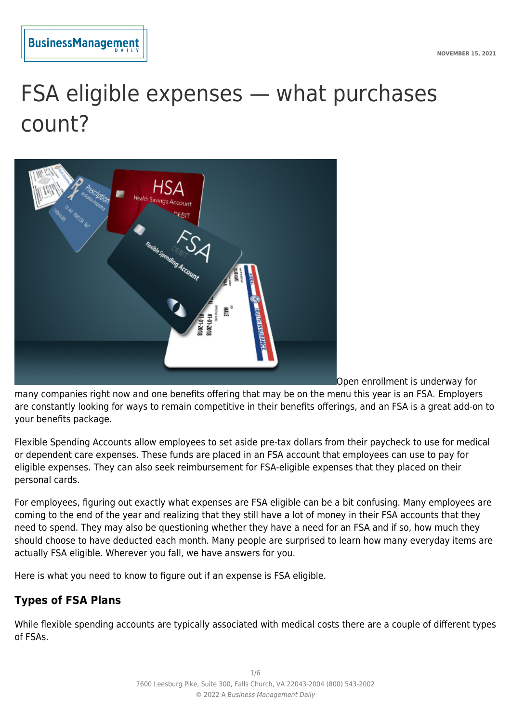

# FSA eligible expenses — what purchases count?



Open enrollment is underway for

many companies right now and one benefits offering that may be on the menu this year is an FSA. Employers are constantly looking for ways to remain competitive in their benefits offerings, and an FSA is a great add-on to your benefits package.

Flexible Spending Accounts allow employees to set aside pre-tax dollars from their paycheck to use for medical or dependent care expenses. These funds are placed in an FSA account that employees can use to pay for eligible expenses. They can also seek reimbursement for FSA-eligible expenses that they placed on their personal cards.

For employees, figuring out exactly what expenses are FSA eligible can be a bit confusing. Many employees are coming to the end of the year and realizing that they still have a lot of money in their FSA accounts that they need to spend. They may also be questioning whether they have a need for an FSA and if so, how much they should choose to have deducted each month. Many people are surprised to learn how many everyday items are actually FSA eligible. Wherever you fall, we have answers for you.

Here is what you need to know to figure out if an expense is FSA eligible.

# **Types of FSA Plans**

While flexible spending accounts are typically associated with medical costs there are a couple of different types of FSAs.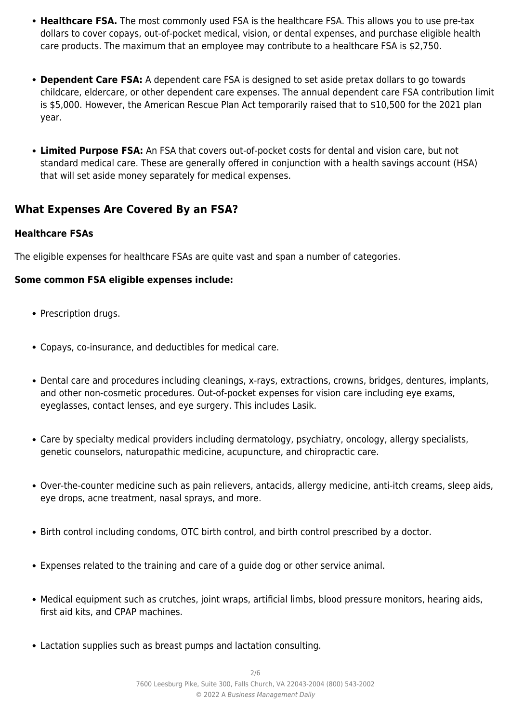- **Healthcare FSA.** The most commonly used FSA is the healthcare FSA. This allows you to use pre-tax dollars to cover copays, out-of-pocket medical, vision, or dental expenses, and purchase eligible health care products. The maximum that an employee may contribute to a healthcare FSA is \$2,750.
- **Dependent Care FSA:** A dependent care FSA is designed to set aside pretax dollars to go towards childcare, eldercare, or other dependent care expenses. The annual dependent care FSA contribution limit is \$5,000. However, the American Rescue Plan Act temporarily raised that to \$10,500 for the 2021 plan year.
- **Limited Purpose FSA:** An FSA that covers out-of-pocket costs for dental and vision care, but not standard medical care. These are generally offered in conjunction with a health savings account (HSA) that will set aside money separately for medical expenses.

## **What Expenses Are Covered By an FSA?**

## **Healthcare FSAs**

The eligible expenses for healthcare FSAs are quite vast and span a number of categories.

## **Some common FSA eligible expenses include:**

- Prescription drugs.
- Copays, co-insurance, and deductibles for medical care.
- Dental care and procedures including cleanings, x-rays, extractions, crowns, bridges, dentures, implants, and other non-cosmetic procedures. Out-of-pocket expenses for vision care including eye exams, eyeglasses, contact lenses, and eye surgery. This includes Lasik.
- Care by specialty medical providers including dermatology, psychiatry, oncology, allergy specialists, genetic counselors, naturopathic medicine, acupuncture, and chiropractic care.
- Over-the-counter medicine such as pain relievers, antacids, allergy medicine, anti-itch creams, sleep aids, eye drops, acne treatment, nasal sprays, and more.
- Birth control including condoms, OTC birth control, and birth control prescribed by a doctor.
- Expenses related to the training and care of a guide dog or other service animal.
- Medical equipment such as crutches, joint wraps, artificial limbs, blood pressure monitors, hearing aids, first aid kits, and CPAP machines.
- Lactation supplies such as breast pumps and lactation consulting.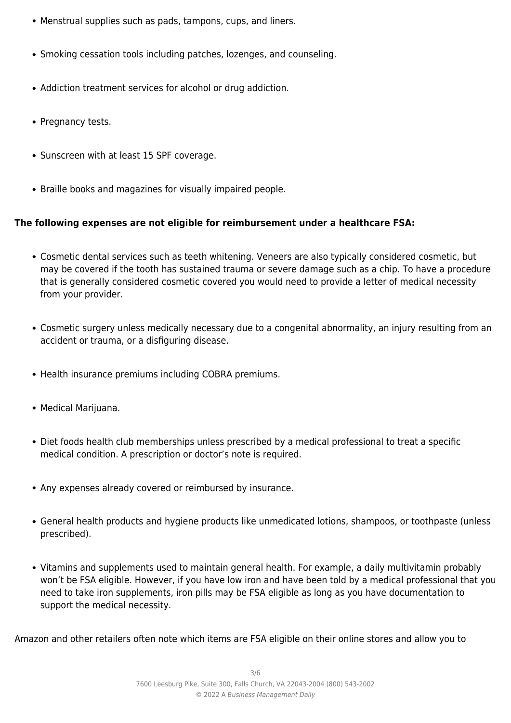- Menstrual supplies such as pads, tampons, cups, and liners.
- Smoking cessation tools including patches, lozenges, and counseling.
- Addiction treatment services for alcohol or drug addiction.
- Pregnancy tests.
- Sunscreen with at least 15 SPF coverage.
- Braille books and magazines for visually impaired people.

#### **The following expenses are not eligible for reimbursement under a healthcare FSA:**

- Cosmetic dental services such as teeth whitening. Veneers are also typically considered cosmetic, but may be covered if the tooth has sustained trauma or severe damage such as a chip. To have a procedure that is generally considered cosmetic covered you would need to provide a letter of medical necessity from your provider.
- Cosmetic surgery unless medically necessary due to a congenital abnormality, an injury resulting from an accident or trauma, or a disfiguring disease.
- Health insurance premiums including COBRA premiums.
- Medical Marijuana.
- Diet foods health club memberships unless prescribed by a medical professional to treat a specific medical condition. A prescription or doctor's note is required.
- Any expenses already covered or reimbursed by insurance.
- General health products and hygiene products like unmedicated lotions, shampoos, or toothpaste (unless prescribed).
- Vitamins and supplements used to maintain general health. For example, a daily multivitamin probably won't be FSA eligible. However, if you have low iron and have been told by a medical professional that you need to take iron supplements, iron pills may be FSA eligible as long as you have documentation to support the medical necessity.

Amazon and other retailers often note which items are FSA eligible on their online stores and allow you to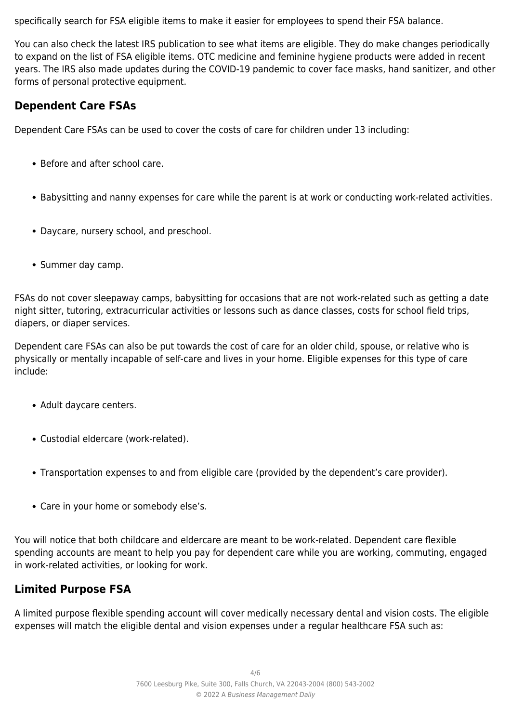specifically search for FSA eligible items to make it easier for employees to spend their FSA balance.

You can also check the latest IRS publication to see what items are eligible. They do make changes periodically to expand on the list of FSA eligible items. OTC medicine and feminine hygiene products were added in recent years. The IRS also made updates during the COVID-19 pandemic to cover face masks, hand sanitizer, and other forms of personal protective equipment.

## **Dependent Care FSAs**

Dependent Care FSAs can be used to cover the costs of care for children under 13 including:

- Before and after school care.
- Babysitting and nanny expenses for care while the parent is at work or conducting work-related activities.
- Daycare, nursery school, and preschool.
- Summer day camp.

FSAs do not cover sleepaway camps, babysitting for occasions that are not work-related such as getting a date night sitter, tutoring, extracurricular activities or lessons such as dance classes, costs for school field trips, diapers, or diaper services.

Dependent care FSAs can also be put towards the cost of care for an older child, spouse, or relative who is physically or mentally incapable of self-care and lives in your home. Eligible expenses for this type of care include:

- Adult daycare centers.
- Custodial eldercare (work-related).
- Transportation expenses to and from eligible care (provided by the dependent's care provider).
- Care in your home or somebody else's.

You will notice that both childcare and eldercare are meant to be work-related. Dependent care flexible spending accounts are meant to help you pay for dependent care while you are working, commuting, engaged in work-related activities, or looking for work.

# **Limited Purpose FSA**

A limited purpose flexible spending account will cover medically necessary dental and vision costs. The eligible expenses will match the eligible dental and vision expenses under a regular healthcare FSA such as: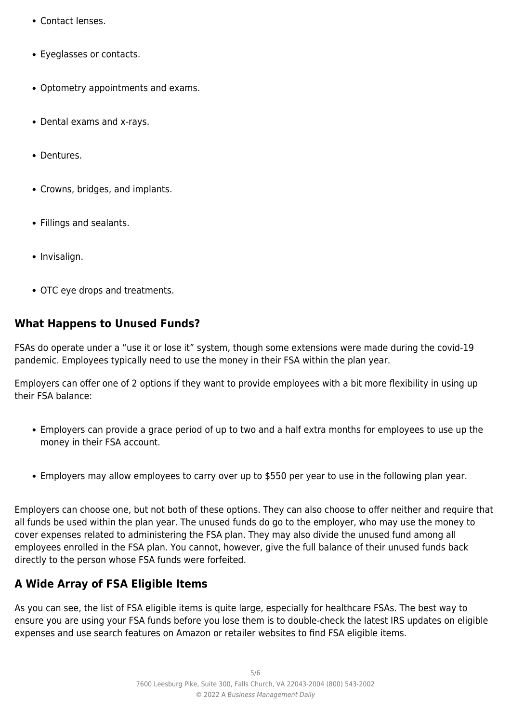- Contact lenses.
- Eyeglasses or contacts.
- Optometry appointments and exams.
- Dental exams and x-rays.
- Dentures.
- Crowns, bridges, and implants.
- Fillings and sealants.
- Invisalign.
- OTC eye drops and treatments.

## **What Happens to Unused Funds?**

FSAs do operate under a "use it or lose it" system, though some extensions were made during the covid-19 pandemic. Employees typically need to use the money in their FSA within the plan year.

Employers can offer one of 2 options if they want to provide employees with a bit more flexibility in using up their FSA balance:

- Employers can provide a grace period of up to two and a half extra months for employees to use up the money in their FSA account.
- Employers may allow employees to carry over up to \$550 per year to use in the following plan year.

Employers can choose one, but not both of these options. They can also choose to offer neither and require that all funds be used within the plan year. The unused funds do go to the employer, who may use the money to cover expenses related to administering the FSA plan. They may also divide the unused fund among all employees enrolled in the FSA plan. You cannot, however, give the full balance of their unused funds back directly to the person whose FSA funds were forfeited.

# **A Wide Array of FSA Eligible Items**

As you can see, the list of FSA eligible items is quite large, especially for healthcare FSAs. The best way to ensure you are using your FSA funds before you lose them is to double-check the latest IRS updates on eligible expenses and use search features on Amazon or retailer websites to find FSA eligible items.